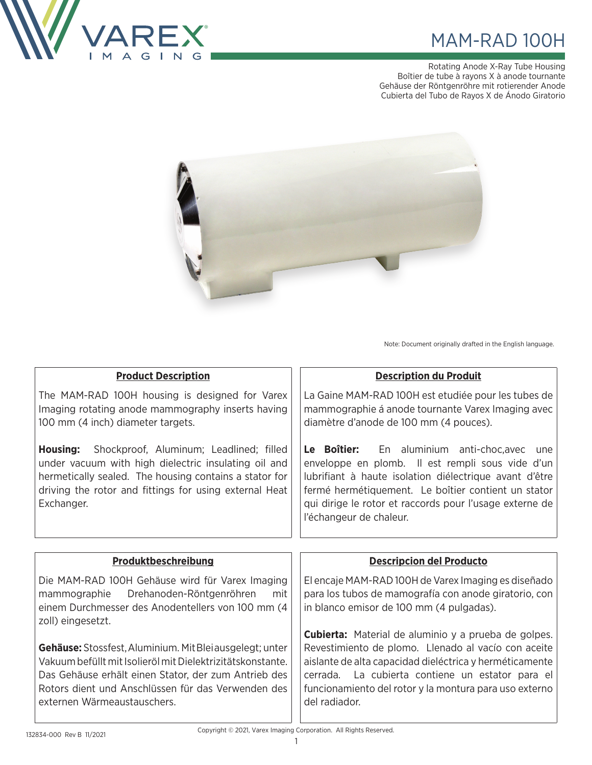

# MAM-RAD 100H

Rotating Anode X-Ray Tube Housing Boîtier de tube à rayons X à anode tournante Gehäuse der Röntgenröhre mit rotierender Anode Cubierta del Tubo de Rayos X de Ánodo Giratorio



Note: Document originally drafted in the English language.

| <b>Product Description</b>                                                                                                                                                                                                                        | <b>Description du Produit</b>                                                                                                                                                                                                                                                                                |  |  |  |
|---------------------------------------------------------------------------------------------------------------------------------------------------------------------------------------------------------------------------------------------------|--------------------------------------------------------------------------------------------------------------------------------------------------------------------------------------------------------------------------------------------------------------------------------------------------------------|--|--|--|
| The MAM-RAD 100H housing is designed for Varex<br>Imaging rotating anode mammography inserts having<br>100 mm (4 inch) diameter targets.                                                                                                          | La Gaine MAM-RAD 100H est etudiée pour les tubes de<br>mammographie á anode tournante Varex Imaging avec<br>diamètre d'anode de 100 mm (4 pouces).                                                                                                                                                           |  |  |  |
| <b>Housing:</b> Shockproof, Aluminum; Leadlined; filled<br>under vacuum with high dielectric insulating oil and<br>hermetically sealed. The housing contains a stator for<br>driving the rotor and fittings for using external Heat<br>Exchanger. | Le Boîtier:<br>En aluminium anti-choc,avec<br>une<br>enveloppe en plomb. Il est rempli sous vide d'un<br>lubrifiant à haute isolation diélectrique avant d'être<br>fermé hermétiquement. Le boîtier contient un stator<br>qui dirige le rotor et raccords pour l'usage externe de<br>l'échangeur de chaleur. |  |  |  |
|                                                                                                                                                                                                                                                   |                                                                                                                                                                                                                                                                                                              |  |  |  |
|                                                                                                                                                                                                                                                   |                                                                                                                                                                                                                                                                                                              |  |  |  |
| Produktbeschreibung                                                                                                                                                                                                                               | <b>Descripcion del Producto</b>                                                                                                                                                                                                                                                                              |  |  |  |
| Die MAM-RAD 100H Gehäuse wird für Varex Imaging<br>Drehanoden-Röntgenröhren<br>mammographie<br>mit<br>einem Durchmesser des Anodentellers von 100 mm (4<br>zoll) eingesetzt.                                                                      | El encaje MAM-RAD 100H de Varex Imaging es diseñado<br>para los tubos de mamografía con anode giratorio, con<br>in blanco emisor de 100 mm (4 pulgadas).                                                                                                                                                     |  |  |  |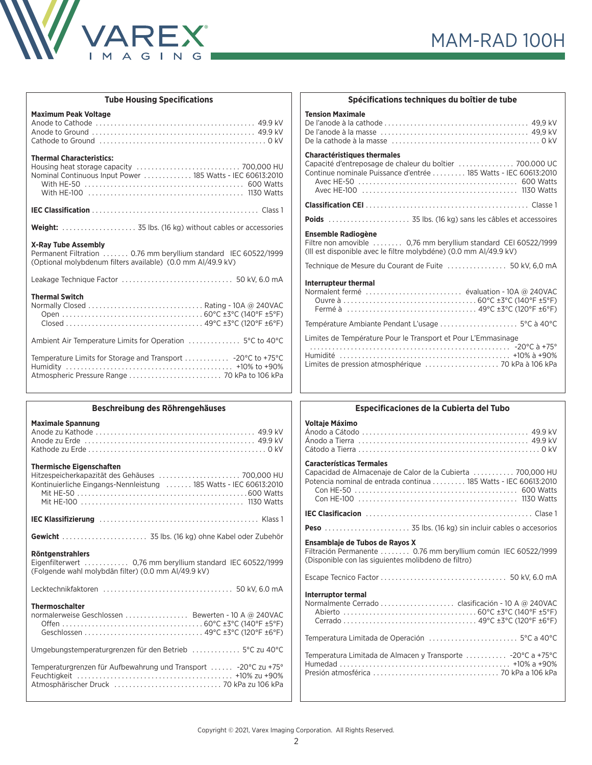

| <b>Tube Housing Specifications</b>                                                                                                                           |                                     |
|--------------------------------------------------------------------------------------------------------------------------------------------------------------|-------------------------------------|
| <b>Maximum Peak Voltage</b>                                                                                                                                  | <b>Ter</b><br><b>De</b><br>De<br>De |
| <b>Thermal Characteristics:</b><br>Nominal Continuous Input Power  185 Watts - IEC 60613:2010                                                                | Ch<br>Car<br>Cor                    |
|                                                                                                                                                              | Cla<br>Poi                          |
|                                                                                                                                                              | En:                                 |
| <b>X-Ray Tube Assembly</b><br>Permanent Filtration  0.76 mm beryllium standard IEC 60522/1999<br>(Optional molybdenum filters available) (0.0 mm Al/49.9 kV) | Filt<br>(III)<br>Tec                |
|                                                                                                                                                              | Int                                 |
| <b>Thermal Switch</b>                                                                                                                                        | <b>No</b><br>Ter                    |
|                                                                                                                                                              | Lim<br>$\ddot{\phantom{0}}$         |
|                                                                                                                                                              | Hu<br>Lim                           |
| Beschreibung des Röhrengehäuses                                                                                                                              |                                     |

| Beschreibung des Röhrengehäuses                                                                                                                         |  |
|---------------------------------------------------------------------------------------------------------------------------------------------------------|--|
| <b>Maximale Spannung</b>                                                                                                                                |  |
| <b>Thermische Eigenschaften</b><br>Hitzespeicherkapazität des Gehäuses  700,000 HU<br>Kontinuierliche Eingangs-Nennleistung  185 Watts - IEC 60613:2010 |  |
|                                                                                                                                                         |  |
| Gewicht  35 lbs. (16 kg) ohne Kabel oder Zubehör                                                                                                        |  |
| <b>Röntgenstrahlers</b><br>Eigenfilterwert  0,76 mm beryllium standard IEC 60522/1999<br>(Folgende wahl molybdän filter) (0.0 mm Al/49.9 kV)            |  |
|                                                                                                                                                         |  |
| <b>Thermoschalter</b><br>normalerweise Geschlossen  Bewerten - 10 A @ 240VAC                                                                            |  |
| Umgebungstemperaturgrenzen für den Betrieb  5°C zu 40°C                                                                                                 |  |
| Temperaturgrenzen für Aufbewahrung und Transport  -20°C zu +75°                                                                                         |  |

| Spécifications techniques du boîtier de tube                                                                                                                       |
|--------------------------------------------------------------------------------------------------------------------------------------------------------------------|
| <b>Tension Maximale</b>                                                                                                                                            |
| <b>Charactéristiques thermales</b><br>Capacité d'entreposage de chaleur du boîtier  700.000 UC<br>Continue nominale Puissance d'entrée  185 Watts - IEC 60613:2010 |
|                                                                                                                                                                    |
|                                                                                                                                                                    |
| <b>Ensemble Radiogène</b><br>Filtre non amovible  0.76 mm beryllium standard CEI 60522/1999<br>(Ill est disponible avec le filtre molybdéne) (0.0 mm AI/49.9 kV)   |
| Technique de Mesure du Courant de Fuite  50 kV, 6,0 mA                                                                                                             |
| Interrupteur thermal<br>Normalent fermé  évaluation - 10A @ 240VAC                                                                                                 |
| Température Ambiante Pendant L'usage  5°C à 40°C                                                                                                                   |
| Limites de Température Pour le Transport et Pour L'Emmasinage                                                                                                      |

| Especificaciones de la Cubierta del Tubo                                                                                                                           |  |  |  |  |
|--------------------------------------------------------------------------------------------------------------------------------------------------------------------|--|--|--|--|
| <b>Voltaie Máximo</b>                                                                                                                                              |  |  |  |  |
| <b>Características Termales</b><br>Capacidad de Almacenaje de Calor de la Cubierta  700,000 HU<br>Potencia nominal de entrada continua  185 Watts - IEC 60613:2010 |  |  |  |  |
|                                                                                                                                                                    |  |  |  |  |
|                                                                                                                                                                    |  |  |  |  |
| Ensamblaje de Tubos de Rayos X<br>Filtración Permanente  0.76 mm beryllium común IEC 60522/1999<br>(Disponible con las siguientes molibdeno de filtro)             |  |  |  |  |
|                                                                                                                                                                    |  |  |  |  |
| <b>Interruptor termal</b>                                                                                                                                          |  |  |  |  |
| Temperatura Limitada de Operación 5°C a 40°C                                                                                                                       |  |  |  |  |
| Temperatura Limitada de Almacen y Transporte  -20°C a +75°C                                                                                                        |  |  |  |  |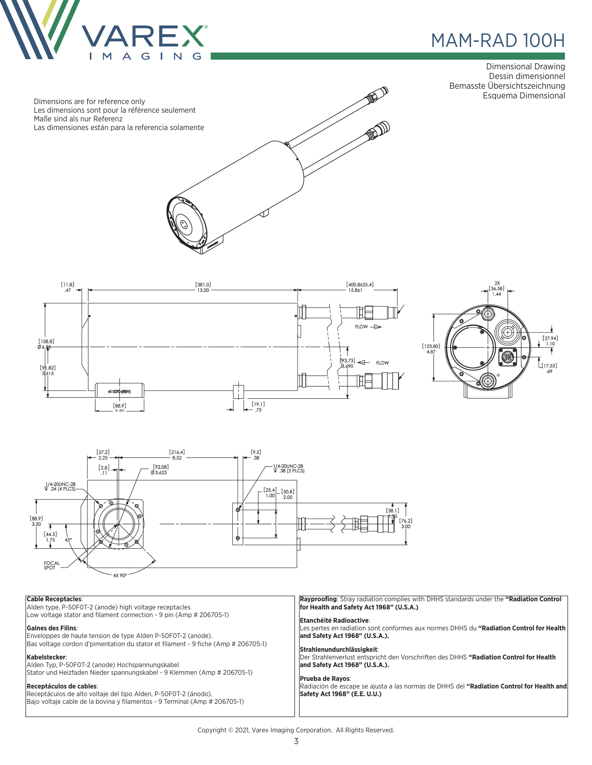

### MAM-RAD 100H ®

Dimensional Drawing Dessin dimensionnel Bemasste Übersichtszeichnung









### **Cable Receptacles**:

Alden type, P-50F0T-2 (anode) high voltage receptacles Low voltage stator and filament connection - 9 pin (Amp # 206705-1)

#### **Gaines des Filins**:

Enveloppes de haute tension de type Alden P-50F0T-2 (anode). Bas voltage cordon d'pimentation du stator et filament - 9 fiche (Amp # 206705-1)

#### **Kabelstecker**:

Alden Typ, P-50F0T-2 (anode) Hochspannungskabel Stator und Heizfaden Nieder spannungskabel - 9 Klemmen (Amp # 206705-1)

#### **Receptáculos de cables**:

Receptáculos de alto voltaje del tipo Alden, P-50F0T-2 (ánodo). Bajo voltaje cable de la bovina y filamentos - 9 Terminal (Amp # 206705-1) **Rayproofing**: Stray radiation complies with DHHS standards under the **"Radiation Control for Health and Safety Act 1968" (U.S.A.)**

### **Etanchéité Radioactive**:

Les pertes en radiation sont conformes aux normes DHHS du **"Radiation Control for Health and Safety Act 1968" (U.S.A.).**

#### **Strahlenundurchlässigkeit**:

Der Strahlenverlust entspricht den Vorschriften des DHHS **"Radiation Control for Health and Safety Act 1968" (U.S.A.).**

#### **Prueba de Rayos**:

Radiación de escape se ajusta a las normas de DHHS del **"Radiation Control for Health and Safety Act 1968" (E.E. U.U.)**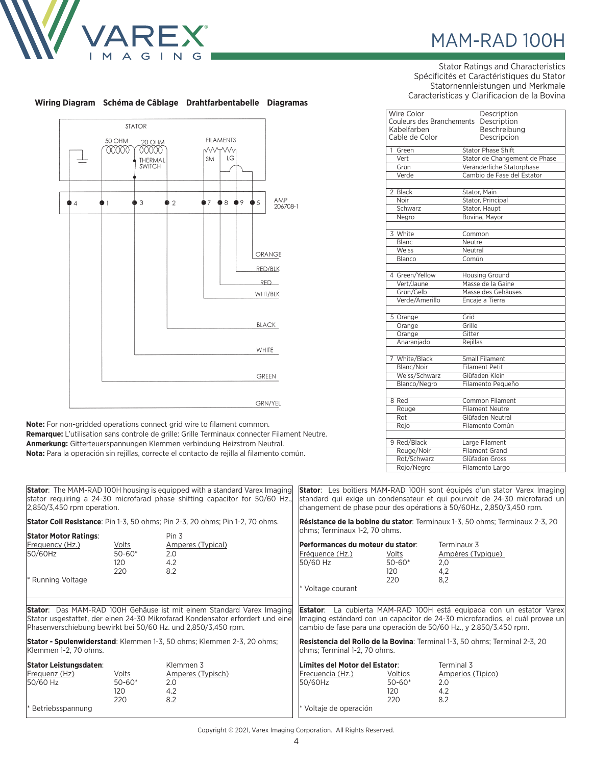

## MAM-RAD 100H

Stator Ratings and Characteristics Spécificités et Caractéristiques du Stator Statornennleistungen und Merkmale Caracteristicas y Clarificacion de la Bovina

| Description                              |  |  |  |  |
|------------------------------------------|--|--|--|--|
| Couleurs des Branchements<br>Description |  |  |  |  |
| Beschreibung                             |  |  |  |  |
| Descripcion                              |  |  |  |  |
| <b>Stator Phase Shift</b>                |  |  |  |  |
| Stator de Changement de Phase            |  |  |  |  |
| Veränderliche Statorphase                |  |  |  |  |
| Cambio de Fase del Estator               |  |  |  |  |
|                                          |  |  |  |  |
| Stator, Main                             |  |  |  |  |
| Stator, Principal                        |  |  |  |  |
| Stator, Haupt                            |  |  |  |  |
| Bovina, Mavor                            |  |  |  |  |
|                                          |  |  |  |  |
| Common                                   |  |  |  |  |
| Neutre                                   |  |  |  |  |
| Neutral                                  |  |  |  |  |
| Común                                    |  |  |  |  |
| <b>Housing Ground</b>                    |  |  |  |  |
| Masse de la Gaine                        |  |  |  |  |
| Masse des Gehäuses                       |  |  |  |  |
| Encaje a Tierra                          |  |  |  |  |
|                                          |  |  |  |  |
| Grid                                     |  |  |  |  |
| Grille                                   |  |  |  |  |
| Gitter                                   |  |  |  |  |
| Rejillas                                 |  |  |  |  |
|                                          |  |  |  |  |
| Small Filament                           |  |  |  |  |
| Filament Petit                           |  |  |  |  |
| Glüfaden Klein                           |  |  |  |  |
| Filamento Pequeño                        |  |  |  |  |
| <b>Common Filament</b>                   |  |  |  |  |
| <b>Filament Neutre</b>                   |  |  |  |  |
| Glüfaden Neutral                         |  |  |  |  |
| Filamento Común                          |  |  |  |  |
|                                          |  |  |  |  |
| Large Filament                           |  |  |  |  |
| Filament Grand                           |  |  |  |  |
|                                          |  |  |  |  |
| Glüfaden Gross                           |  |  |  |  |
|                                          |  |  |  |  |

### **Wiring Diagram Schéma de Câblage Drahtfarbentabelle Diagramas**



**Note:** For non-gridded operations connect grid wire to filament common. **Remarque:** L'utilisation sans controle de grille: Grille Terminaux connecter Filament Neutre. **Anmerkung:** Gitterteuerspannungen Klemmen verbindung Heizstrom Neutral. **Nota:** Para la operación sin rejillas, correcte el contacto de rejilla al filamento común.

|                                                                                                                                                                                                                                                                                                                                   | 2,850/3,450 rpm operation.   |                                                                                                | <b>Stator</b> : The MAM-RAD 100H housing is equipped with a standard Varex Imaging<br>stator requiring a 24-30 microfarad phase shifting capacitor for 50/60 Hz.,                                                                                                                                                                             | <b>Stator</b> : Les boîtiers MAM-RAD 100H sont équipés d'un stator Varex Imaging<br>standard qui exige un condensateur et qui pourvoit de 24-30 microfarad un<br>changement de phase pour des opérations à 50/60Hz., 2,850/3,450 rpm. |                                                                                                               |                                                |                                                            |
|-----------------------------------------------------------------------------------------------------------------------------------------------------------------------------------------------------------------------------------------------------------------------------------------------------------------------------------|------------------------------|------------------------------------------------------------------------------------------------|-----------------------------------------------------------------------------------------------------------------------------------------------------------------------------------------------------------------------------------------------------------------------------------------------------------------------------------------------|---------------------------------------------------------------------------------------------------------------------------------------------------------------------------------------------------------------------------------------|---------------------------------------------------------------------------------------------------------------|------------------------------------------------|------------------------------------------------------------|
|                                                                                                                                                                                                                                                                                                                                   | <b>Stator Motor Ratings:</b> | <b>Stator Coil Resistance</b> : Pin 1-3, 50 ohms; Pin 2-3, 20 ohms; Pin 1-2, 70 ohms.<br>Pin 3 |                                                                                                                                                                                                                                                                                                                                               |                                                                                                                                                                                                                                       | Résistance de la bobine du stator: Terminaux 1-3, 50 ohms; Terminaux 2-3, 20<br>ohms; Terminaux 1-2, 70 ohms. |                                                |                                                            |
|                                                                                                                                                                                                                                                                                                                                   | Frequency (Hz.)<br>50/60Hz   | Volts<br>$50 - 60*$<br>120<br>220                                                              | Amperes (Typical)<br>2.0<br>4.2<br>8.2                                                                                                                                                                                                                                                                                                        | Performances du moteur du stator:<br>Fréquence (Hz.)<br>50/60 Hz                                                                                                                                                                      | Volts<br>$50 - 60*$<br>120                                                                                    | Terminaux 3<br>Ampères (Typique)<br>2,0<br>4,2 |                                                            |
|                                                                                                                                                                                                                                                                                                                                   | Running Voltage              |                                                                                                |                                                                                                                                                                                                                                                                                                                                               | * Voltage courant                                                                                                                                                                                                                     | 220                                                                                                           | 8.2                                            |                                                            |
| <b>Stator:</b> Das MAM-RAD 100H Gehäuse ist mit einem Standard Varex Imaging<br>Stator usgestattet, der einen 24-30 Mikrofarad Kondensator erfordert und eine<br>Phasenverschiebung bewirkt bei 50/60 Hz. und 2,850/3,450 rpm.<br>Stator - Spulenwiderstand: Klemmen 1-3, 50 ohms; Klemmen 2-3, 20 ohms;<br>Klemmen 1-2, 70 ohms. |                              |                                                                                                | La cubierta MAM-RAD 100H está equipada con un estator Varex<br>Estator:<br>lmaging estándard con un capacitor de 24-30 microfaradios, el cuál provee un<br>cambio de fase para una operación de 50/60 Hz., y 2.850/3.450 rpm.<br>Resistencia del Rollo de la Bovina: Terminal 1-3, 50 ohms; Terminal 2-3, 20<br>Johms; Terminal 1-2, 70 ohms. |                                                                                                                                                                                                                                       |                                                                                                               |                                                |                                                            |
|                                                                                                                                                                                                                                                                                                                                   |                              |                                                                                                |                                                                                                                                                                                                                                                                                                                                               |                                                                                                                                                                                                                                       |                                                                                                               |                                                | <b>Stator Leistungsdaten:</b><br>Frequenz (Hz)<br>50/60 Hz |
| Betriebsspannung                                                                                                                                                                                                                                                                                                                  |                              |                                                                                                | * Voltaje de operación                                                                                                                                                                                                                                                                                                                        |                                                                                                                                                                                                                                       |                                                                                                               |                                                |                                                            |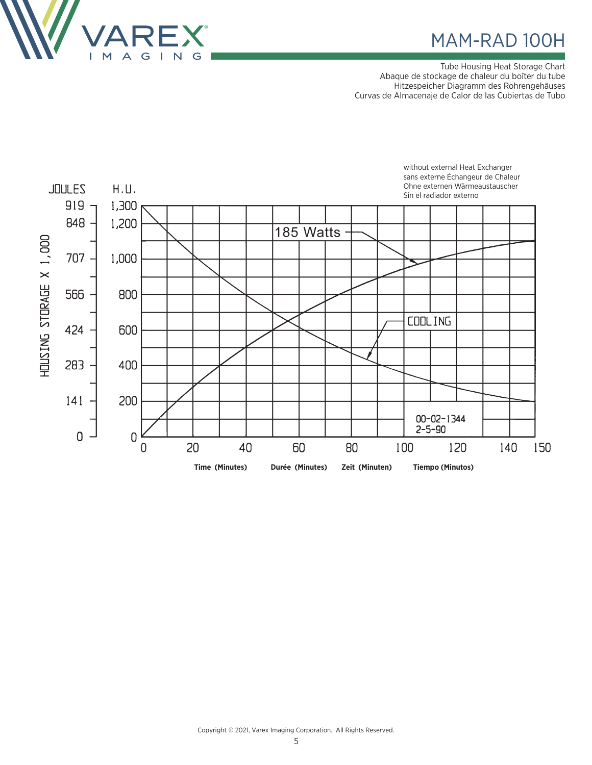

### MAM-RAD 100H

Tube Housing Heat Storage Chart Abaque de stockage de chaleur du boîter du tube Hitzespeicher Diagramm des Rohrengehäuses Curvas de Almacenaje de Calor de las Cubiertas de Tubo